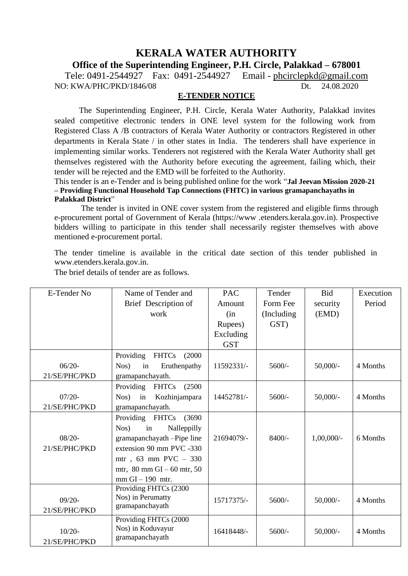# **KERALA WATER AUTHORITY**

## **Office of the Superintending Engineer, P.H. Circle, Palakkad – 678001**

Tele: 0491-2544927 Fax: 0491-2544927 Email - [phcirclepkd@gmail.com](mailto:phcirclepkd@gmail.com) NO: KWA/PHC/PKD/1846/08 Dt. 24.08.2020

#### **E-TENDER NOTICE**

The Superintending Engineer, P.H. Circle, Kerala Water Authority, Palakkad invites sealed competitive electronic tenders in ONE level system for the following work from Registered Class A /B contractors of Kerala Water Authority or contractors Registered in other departments in Kerala State / in other states in India. The tenderers shall have experience in implementing similar works. Tenderers not registered with the Kerala Water Authority shall get themselves registered with the Authority before executing the agreement, failing which, their tender will be rejected and the EMD will be forfeited to the Authority.

This tender is an e-Tender and is being published online for the work "**Jal Jeevan Mission 2020-21 – Providing Functional Household Tap Connections (FHTC) in various gramapanchayaths in Palakkad District**"

The tender is invited in ONE cover system from the registered and eligible firms through e-procurement portal of Government of Kerala (https://www [.etenders.kerala.gov.in](http://www.etenders.kerala.gov.in/)). Prospective bidders willing to participate in this tender shall necessarily register themselves with above mentioned e-procurement portal.

The tender timeline is available in the critical date section of this tender published in [www.etenders.kerala.gov.in.](http://www.etenders.kerala.gov.in/)

| E-Tender No   | Name of Tender and                   | <b>PAC</b> | Tender      | <b>Bid</b>   | Execution |
|---------------|--------------------------------------|------------|-------------|--------------|-----------|
|               | Brief Description of                 | Amount     | Form Fee    | security     | Period    |
|               | work                                 | (in        | (Including) | (EMD)        |           |
|               |                                      | Rupees)    | GST)        |              |           |
|               |                                      | Excluding  |             |              |           |
|               |                                      | <b>GST</b> |             |              |           |
|               | Providing<br><b>FHTCs</b><br>(2000)  |            |             |              |           |
| $06/20 -$     | Nos)<br>in<br>Eruthenpathy           | 11592331/- | $5600/-$    | $50,000/-$   | 4 Months  |
| 21/SE/PHC/PKD | gramapanchayath.                     |            |             |              |           |
|               | Providing FHTCs<br>(2500)            |            |             |              |           |
| $07/20-$      | Kozhinjampara<br>Nos)<br>in          | 14452781/- | $5600/-$    | $50,000/-$   | 4 Months  |
| 21/SE/PHC/PKD | gramapanchayath.                     |            |             |              |           |
|               | Providing FHTCs<br>(3690)            |            |             |              |           |
|               | Nalleppilly<br>$Nos$ )<br>in         |            |             |              |           |
| $08/20 -$     | gramapanchayath -Pipe line           | 21694079/- | 8400/-      | $1,00,000/-$ | 6 Months  |
| 21/SE/PHC/PKD | extension 90 mm PVC -330             |            |             |              |           |
|               | mtr, 63 mm PVC - 330                 |            |             |              |           |
|               | mtr, $80 \text{ mm}$ GI – 60 mtr, 50 |            |             |              |           |
|               | $mm$ GI $-$ 190 $mtr$ .              |            |             |              |           |
|               | Providing FHTCs (2300                |            |             |              |           |
| $09/20-$      | Nos) in Perumatty                    | 15717375/- | $5600/-$    | $50,000/-$   | 4 Months  |
| 21/SE/PHC/PKD | gramapanchayath                      |            |             |              |           |
|               | Providing FHTCs (2000                |            |             |              |           |
| $10/20 -$     | Nos) in Koduvayur                    | 16418448/- | $5600/-$    | $50,000/-$   | 4 Months  |
| 21/SE/PHC/PKD | gramapanchayath                      |            |             |              |           |

The brief details of tender are as follows.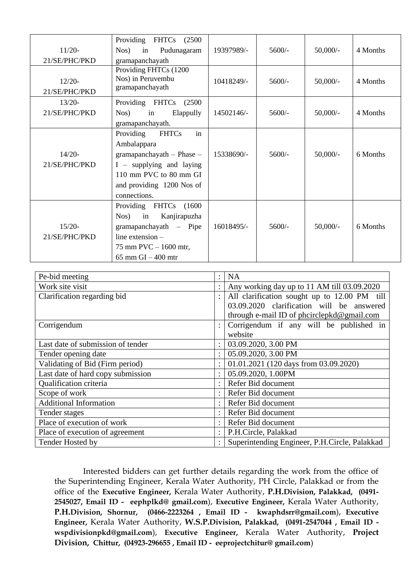| $11/20-$<br>21/SE/PHC/PKD | Providing<br><b>FHTCs</b><br>(2500)<br>Pudunagaram<br>Nos)<br>in<br>gramapanchayath                                                                                                  | 19397989/- | $5600/-$ | $50,000/-$ | 4 Months |
|---------------------------|--------------------------------------------------------------------------------------------------------------------------------------------------------------------------------------|------------|----------|------------|----------|
| $12/20-$<br>21/SE/PHC/PKD | Providing FHTCs (1200<br>Nos) in Peruvembu<br>gramapanchayath                                                                                                                        | 10418249/- | $5600/-$ | $50,000/-$ | 4 Months |
| $13/20-$<br>21/SE/PHC/PKD | Providing FHTCs (2500)<br>$Nos$ )<br>in<br>Elappully<br>gramapanchayath.                                                                                                             | 14502146/- | $5600/-$ | $50,000/-$ | 4 Months |
| $14/20-$<br>21/SE/PHC/PKD | in<br>Providing<br><b>FHTCs</b><br>Ambalappara<br>gramapanchayath $-$ Phase $-$<br>$I$ – supplying and laying<br>110 mm PVC to 80 mm GI<br>and providing 1200 Nos of<br>connections. | 15338690/- | $5600/-$ | $50,000/-$ | 6 Months |
| $15/20-$<br>21/SE/PHC/PKD | Providing FHTCs<br>(1600)<br>Kanjirapuzha<br>Nos)<br>in<br>$gramapanchayath$ – Pipe<br>line extension $-$<br>75 mm $PVC - 1600$ mtr,<br>$65$ mm $GI - 400$ mtr                       | 16018495/- | $5600/-$ | $50,000/-$ | 6 Months |

| Pe-bid meeting                    |  | <b>NA</b>                                     |  |  |
|-----------------------------------|--|-----------------------------------------------|--|--|
| Work site visit                   |  | Any working day up to 11 AM till 03.09.2020   |  |  |
| Clarification regarding bid       |  | All clarification sought up to 12.00 PM till  |  |  |
|                                   |  | 03.09.2020 clarification will be answered     |  |  |
|                                   |  | through e-mail ID of phcirclepkd@gmail.com    |  |  |
| Corrigendum                       |  | Corrigendum if any will be published in       |  |  |
|                                   |  | website                                       |  |  |
| Last date of submission of tender |  | 03.09.2020, 3.00 PM                           |  |  |
| Tender opening date               |  | 05.09.2020, 3.00 PM                           |  |  |
| Validating of Bid (Firm period)   |  | 01.01.2021 (120 days from 03.09.2020)         |  |  |
| Last date of hard copy submission |  | 05.09.2020, 1.00PM                            |  |  |
| Qualification criteria            |  | Refer Bid document                            |  |  |
| Scope of work                     |  | Refer Bid document                            |  |  |
| <b>Additional Information</b>     |  | Refer Bid document                            |  |  |
| Tender stages                     |  | Refer Bid document                            |  |  |
| Place of execution of work        |  | Refer Bid document                            |  |  |
| Place of execution of agreement   |  | P.H.Circle, Palakkad                          |  |  |
| Tender Hosted by                  |  | Superintending Engineer, P.H.Circle, Palakkad |  |  |

Interested bidders can get further details regarding the work from the office of the Superintending Engineer, Kerala Water Authority, PH Circle, Palakkad or from the office of the **Executive Engineer,** Kerala Water Authority, **P.H.Division, Palakkad, (0491- 2545027, Email ID - eephplkd@ gmail.com**), **Executive Engineer,** Kerala Water Authority, **P.H.Division, Shornur, (0466-2223264 , Email ID - kwaphdsrr@gmail.com**), **Executive Engineer,** Kerala Water Authority, **W.S.P.Division, Palakkad, (0491-2547044 , Email ID wspdivisionpkd@gmail.com**), **Executive Engineer,** Kerala Water Authority, **Project Division, Chittur, (04923-296655 , Email ID - eeprojectchitur@ gmail.com**)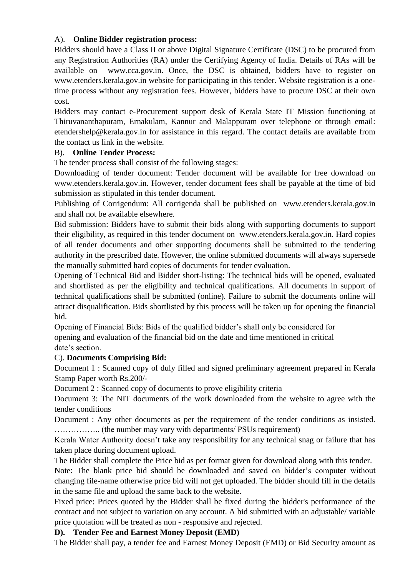### A). **Online Bidder registration process:**

Bidders should have a Class II or above Digital Signature Certificate (DSC) to be procured from any Registration Authorities (RA) under the Certifying Agency of India. Details of RAs will be available on [www.cca.gov.in](http://www.cca.gov.in/). Once, the DSC is obtained, bidders have to register on [www.etenders.kerala.gov.in](http://www.etenders.kerala.gov.in/) website for participating in this tender. Website registration is a onetime process without any registration fees. However, bidders have to procure DSC at their own cost.

Bidders may contact e-Procurement support desk of Kerala State IT Mission functioning at Thiruvananthapuram, Ernakulam, Kannur and Malappuram over telephone or through email: etendershelp@kerala.gov.in for assistance in this regard. The contact details are available from the contact us link in the website.

#### B). **Online Tender Process:**

The tender process shall consist of the following stages:

Downloading of tender document: Tender document will be available for free download on [www.etenders.kerala.gov.in](http://www.etenders.kerala.gov.in/). However, tender document fees shall be payable at the time of bid submission as stipulated in this tender document.

Publishing of Corrigendum: All corrigenda shall be published on [www.etenders.kerala.gov.in](http://www.etenders.kerala.gov.in/) and shall not be available elsewhere.

Bid submission: Bidders have to submit their bids along with supporting documents to support their eligibility, as required in this tender document on [www.etenders.kerala.gov.in](http://www.etenders.kerala.gov.in/). Hard copies of all tender documents and other supporting documents shall be submitted to the tendering authority in the prescribed date. However, the online submitted documents will always supersede the manually submitted hard copies of documents for tender evaluation.

Opening of Technical Bid and Bidder short-listing: The technical bids will be opened, evaluated and shortlisted as per the eligibility and technical qualifications. All documents in support of technical qualifications shall be submitted (online). Failure to submit the documents online will attract disqualification. Bids shortlisted by this process will be taken up for opening the financial bid.

Opening of Financial Bids: Bids of the qualified bidder's shall only be considered for opening and evaluation of the financial bid on the date and time mentioned in critical date's section.

#### C). **Documents Comprising Bid:**

Document 1 : Scanned copy of duly filled and signed preliminary agreement prepared in Kerala Stamp Paper worth Rs.200/-

Document 2 : Scanned copy of documents to prove eligibility criteria

Document 3: The NIT documents of the work downloaded from the website to agree with the tender conditions

Document : Any other documents as per the requirement of the tender conditions as insisted. …………….. (the number may vary with departments/ PSUs requirement)

Kerala Water Authority doesn't take any responsibility for any technical snag or failure that has taken place during document upload.

The Bidder shall complete the Price bid as per format given for download along with this tender.

Note: The blank price bid should be downloaded and saved on bidder's computer without changing file-name otherwise price bid will not get uploaded. The bidder should fill in the details in the same file and upload the same back to the website.

Fixed price: Prices quoted by the Bidder shall be fixed during the bidder's performance of the contract and not subject to variation on any account. A bid submitted with an adjustable/ variable price quotation will be treated as non - responsive and rejected.

#### **D). Tender Fee and Earnest Money Deposit (EMD)**

The Bidder shall pay, a tender fee and Earnest Money Deposit (EMD) or Bid Security amount as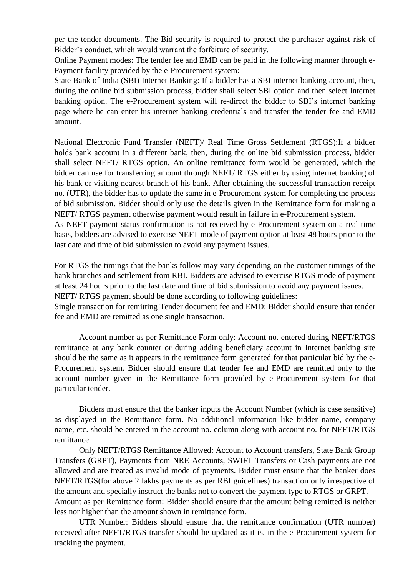per the tender documents. The Bid security is required to protect the purchaser against risk of Bidder's conduct, which would warrant the forfeiture of security.

Online Payment modes: The tender fee and EMD can be paid in the following manner through e-Payment facility provided by the e-Procurement system:

State Bank of India (SBI) Internet Banking: If a bidder has a SBI internet banking account, then, during the online bid submission process, bidder shall select SBI option and then select Internet banking option. The e-Procurement system will re-direct the bidder to SBI's internet banking page where he can enter his internet banking credentials and transfer the tender fee and EMD amount.

National Electronic Fund Transfer (NEFT)/ Real Time Gross Settlement (RTGS):If a bidder holds bank account in a different bank, then, during the online bid submission process, bidder shall select NEFT/ RTGS option. An online remittance form would be generated, which the bidder can use for transferring amount through NEFT/ RTGS either by using internet banking of his bank or visiting nearest branch of his bank. After obtaining the successful transaction receipt no. (UTR), the bidder has to update the same in e-Procurement system for completing the process of bid submission. Bidder should only use the details given in the Remittance form for making a NEFT/ RTGS payment otherwise payment would result in failure in e-Procurement system.

As NEFT payment status confirmation is not received by e-Procurement system on a real-time basis, bidders are advised to exercise NEFT mode of payment option at least 48 hours prior to the last date and time of bid submission to avoid any payment issues.

For RTGS the timings that the banks follow may vary depending on the customer timings of the bank branches and settlement from RBI. Bidders are advised to exercise RTGS mode of payment at least 24 hours prior to the last date and time of bid submission to avoid any payment issues. NEFT/ RTGS payment should be done according to following guidelines:

Single transaction for remitting Tender document fee and EMD: Bidder should ensure that tender fee and EMD are remitted as one single transaction.

Account number as per Remittance Form only: Account no. entered during NEFT/RTGS remittance at any bank counter or during adding beneficiary account in Internet banking site should be the same as it appears in the remittance form generated for that particular bid by the e-Procurement system. Bidder should ensure that tender fee and EMD are remitted only to the account number given in the Remittance form provided by e-Procurement system for that particular tender.

Bidders must ensure that the banker inputs the Account Number (which is case sensitive) as displayed in the Remittance form. No additional information like bidder name, company name, etc. should be entered in the account no. column along with account no. for NEFT/RTGS remittance.

Only NEFT/RTGS Remittance Allowed: Account to Account transfers, State Bank Group Transfers (GRPT), Payments from NRE Accounts, SWIFT Transfers or Cash payments are not allowed and are treated as invalid mode of payments. Bidder must ensure that the banker does NEFT/RTGS(for above 2 lakhs payments as per RBI guidelines) transaction only irrespective of the amount and specially instruct the banks not to convert the payment type to RTGS or GRPT. Amount as per Remittance form: Bidder should ensure that the amount being remitted is neither less nor higher than the amount shown in remittance form.

UTR Number: Bidders should ensure that the remittance confirmation (UTR number) received after NEFT/RTGS transfer should be updated as it is, in the e-Procurement system for tracking the payment.